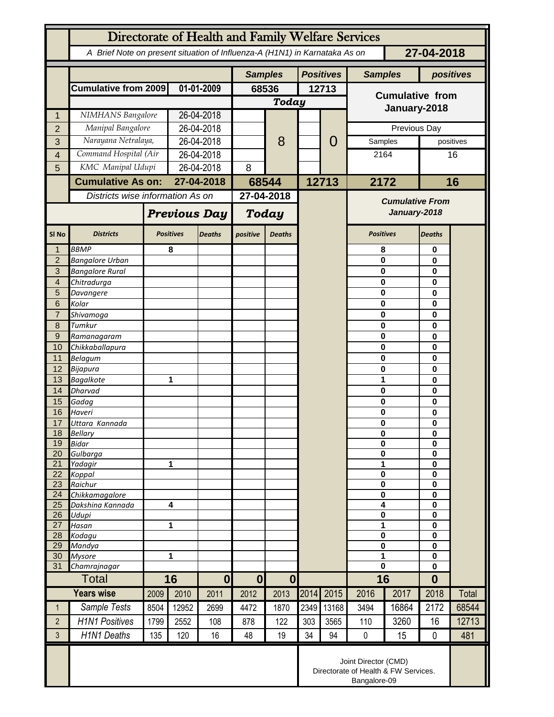| Directorate of Health and Family Welfare Services |                                                                                          |                                  |                     |                  |                          |               |                  |                        |                                        |       |                         |             |  |
|---------------------------------------------------|------------------------------------------------------------------------------------------|----------------------------------|---------------------|------------------|--------------------------|---------------|------------------|------------------------|----------------------------------------|-------|-------------------------|-------------|--|
|                                                   | 27-04-2018<br>A Brief Note on present situation of Influenza-A (H1N1) in Karnataka As on |                                  |                     |                  |                          |               |                  |                        |                                        |       |                         |             |  |
|                                                   |                                                                                          |                                  |                     |                  | <b>Samples</b>           |               | <b>Positives</b> |                        | <b>Samples</b>                         |       |                         | positives   |  |
|                                                   | <b>Cumulative from 2009</b>                                                              | 01-01-2009                       |                     | 68536            |                          | 12713         |                  | <b>Cumulative from</b> |                                        |       |                         |             |  |
|                                                   |                                                                                          |                                  |                     | Today            |                          |               |                  |                        |                                        |       |                         |             |  |
| $\mathbf{1}$                                      | NIMHANS Bangalore                                                                        |                                  | 26-04-2018          |                  |                          |               |                  |                        | January-2018                           |       |                         |             |  |
| $\overline{2}$                                    | Manipal Bangalore                                                                        |                                  | 26-04-2018          |                  |                          | 8             |                  | 0                      | Previous Day                           |       |                         |             |  |
| 3                                                 | Narayana Netralaya,                                                                      |                                  | 26-04-2018          |                  |                          |               |                  |                        | Samples                                |       |                         | positives   |  |
| 4                                                 |                                                                                          | Command Hospital (Air            |                     | 26-04-2018       |                          |               |                  |                        | 2164                                   |       |                         | 16          |  |
| 5                                                 |                                                                                          | KMC Manipal Udupi                |                     | 26-04-2018       |                          |               |                  |                        |                                        |       |                         |             |  |
|                                                   | <b>Cumulative As on:</b>                                                                 |                                  |                     | 27-04-2018       |                          | 68544         |                  | 12713                  | 2172                                   |       | 16                      |             |  |
|                                                   |                                                                                          | Districts wise information As on |                     |                  |                          | 27-04-2018    |                  |                        | <b>Cumulative From</b><br>January-2018 |       |                         |             |  |
|                                                   |                                                                                          |                                  | <b>Previous Day</b> |                  | <b>Today</b>             |               |                  |                        |                                        |       |                         |             |  |
| SI <sub>No</sub>                                  | <b>Districts</b>                                                                         |                                  | <b>Positives</b>    | <b>Deaths</b>    | positive                 | <b>Deaths</b> |                  |                        | <b>Positives</b>                       |       | <b>Deaths</b>           |             |  |
| $\mathbf{1}$                                      | <b>BBMP</b>                                                                              |                                  | 8                   |                  |                          |               |                  |                        | 8                                      |       | 0                       |             |  |
| $\overline{2}$<br>3                               | <b>Bangalore Urban</b><br><b>Bangalore Rural</b>                                         |                                  |                     |                  |                          |               |                  |                        | 0<br>0                                 |       |                         | 0<br>0<br>0 |  |
| $\overline{4}$                                    | Chitradurga                                                                              |                                  |                     |                  |                          |               |                  |                        | 0                                      |       |                         |             |  |
| 5                                                 | Davangere                                                                                |                                  |                     |                  |                          |               |                  |                        | 0                                      |       | 0                       |             |  |
| 6                                                 | Kolar                                                                                    |                                  |                     |                  |                          |               |                  |                        | 0                                      |       | $\bf{0}$                |             |  |
| $\overline{7}$<br>8                               | Shivamoga<br>Tumkur                                                                      |                                  |                     |                  |                          |               |                  |                        | 0<br>0                                 |       | $\bf{0}$<br>$\bf{0}$    |             |  |
| $\overline{9}$                                    | Ramanagaram                                                                              |                                  |                     |                  |                          |               |                  |                        | 0                                      |       | $\bf{0}$                |             |  |
| 10                                                | Chikkaballapura                                                                          |                                  |                     |                  |                          |               |                  |                        | 0                                      | 0     |                         |             |  |
| 11                                                | <b>Belagum</b>                                                                           |                                  |                     |                  |                          |               |                  |                        | 0                                      |       | 0                       |             |  |
| 12                                                | Bijapura                                                                                 |                                  |                     |                  |                          |               |                  |                        | 0                                      |       | 0                       |             |  |
| 13                                                | <b>Bagalkote</b>                                                                         |                                  | 1                   |                  |                          |               |                  |                        | 1                                      |       | 0                       |             |  |
| 14<br>15                                          | <b>Dharvad</b><br>Gadag                                                                  |                                  |                     |                  |                          |               |                  |                        | 0<br>0                                 |       | 0<br>0                  |             |  |
| 16                                                | Haveri                                                                                   |                                  |                     |                  |                          |               |                  |                        | 0                                      |       | 0                       |             |  |
| 17                                                | Uttara Kannada                                                                           |                                  |                     |                  |                          |               |                  |                        | 0                                      |       | $\bf{0}$                |             |  |
| 18                                                | Bellary                                                                                  |                                  |                     |                  |                          |               |                  |                        | 0                                      |       | 0                       |             |  |
| 19                                                | <b>Bidar</b>                                                                             |                                  |                     |                  |                          |               |                  |                        | 0<br>0                                 |       | $\mathbf 0$             |             |  |
| 20<br>21                                          | Gulbarga<br>Yadagir                                                                      |                                  | 1                   |                  |                          |               |                  |                        | 1                                      |       | $\bf{0}$<br>$\bf{0}$    |             |  |
| 22                                                | Koppal                                                                                   |                                  |                     |                  |                          |               |                  |                        | 0                                      |       | $\mathbf 0$             |             |  |
| 23                                                | Raichur                                                                                  |                                  |                     |                  |                          |               |                  |                        | $\bf{0}$                               |       | $\mathbf 0$             |             |  |
| 24                                                | Chikkamagalore                                                                           | 4                                |                     |                  |                          |               |                  |                        | 0<br>4                                 |       | $\mathbf 0$<br>$\bf{0}$ |             |  |
| 25<br>26                                          | Dakshina Kannada<br>Udupi                                                                |                                  |                     |                  |                          |               |                  |                        | 0                                      |       | $\mathbf 0$             |             |  |
| 27                                                | Hasan                                                                                    | 1                                |                     |                  |                          |               |                  |                        | 1                                      |       | $\mathbf 0$             |             |  |
| 28                                                | Kodagu                                                                                   |                                  |                     |                  |                          |               |                  |                        | 0<br>0<br>1<br>$\mathbf 0$             |       | $\mathbf 0$             |             |  |
| 29<br>30                                          | Mandya<br><b>Mysore</b>                                                                  | 1                                |                     |                  |                          |               |                  |                        |                                        |       | $\bf{0}$<br>$\mathbf 0$ |             |  |
| 31                                                | Chamrajnagar                                                                             |                                  |                     |                  |                          |               |                  |                        |                                        |       | $\bf{0}$                |             |  |
|                                                   | <b>Total</b>                                                                             |                                  | 16                  |                  | $\mathbf{0}$<br>$\bf{0}$ |               |                  |                        | 16                                     |       | $\bf{0}$                |             |  |
|                                                   | <b>Years wise</b>                                                                        | 2009                             | 2010                | $\bf{0}$<br>2011 | 2012                     | 2013          | 2014             | 2015                   | 2016                                   | 2017  | 2018                    | Total       |  |
| $\mathbf{1}$                                      | Sample Tests                                                                             | 8504                             | 12952               | 2699             | 4472                     | 1870          | 2349             | 13168                  | 3494                                   | 16864 | 2172                    | 68544       |  |
| $\overline{2}$                                    | <b>H1N1 Positives</b>                                                                    | 1799                             | 2552                | 108              | 878                      | 122           | 303              | 3565                   | 110                                    | 3260  | 16                      | 12713       |  |
| 3                                                 | H1N1 Deaths                                                                              | 135                              | 120                 | 16               | 48                       | 19            | 34               | 94                     | 0                                      | 15    | $\mathbf 0$             | 481         |  |
|                                                   | Joint Director (CMD)<br>Directorate of Health & FW Services.<br>Bangalore-09             |                                  |                     |                  |                          |               |                  |                        |                                        |       |                         |             |  |